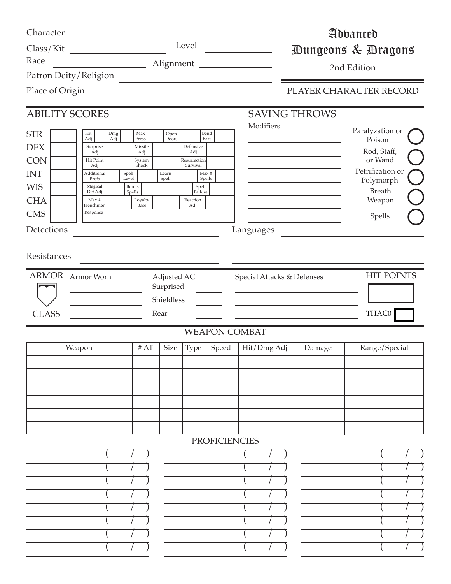| Character<br>Class/Kit                                                                                                                          | <u> 1980 - Jan Barat, prima politik (</u>                                                                                                                       |                                                                                         |                                                | Level                                                                               |                                 |                                                      | Advanced<br>Dungeons & Dragons |                                                                                                                                                |  |  |  |
|-------------------------------------------------------------------------------------------------------------------------------------------------|-----------------------------------------------------------------------------------------------------------------------------------------------------------------|-----------------------------------------------------------------------------------------|------------------------------------------------|-------------------------------------------------------------------------------------|---------------------------------|------------------------------------------------------|--------------------------------|------------------------------------------------------------------------------------------------------------------------------------------------|--|--|--|
| Race                                                                                                                                            |                                                                                                                                                                 | Alignment                                                                               | 2nd Edition                                    |                                                                                     |                                 |                                                      |                                |                                                                                                                                                |  |  |  |
| Patron Deity / Religion                                                                                                                         |                                                                                                                                                                 |                                                                                         |                                                |                                                                                     |                                 |                                                      |                                |                                                                                                                                                |  |  |  |
| Place of Origin                                                                                                                                 |                                                                                                                                                                 |                                                                                         |                                                |                                                                                     |                                 |                                                      |                                | PLAYER CHARACTER RECORD                                                                                                                        |  |  |  |
| <b>ABILITY SCORES</b>                                                                                                                           |                                                                                                                                                                 |                                                                                         |                                                |                                                                                     |                                 | <b>SAVING THROWS</b>                                 |                                |                                                                                                                                                |  |  |  |
| <b>STR</b><br><b>DEX</b><br><b>CON</b><br><b>INT</b><br><b>WIS</b><br><b>CHA</b><br><b>CMS</b><br>Detections<br>Resistances<br>ARMOR Armor Worn | Hit<br>Dmg<br>Adj<br>Adj<br>Surprise<br>Adj<br>Hit Point<br>Adj<br>Additional<br>Spell<br>Level<br>Profs<br>Magical<br>Def Adj<br>Max #<br>Henchmen<br>Response | Max<br>Press<br>Missile<br>Adj<br>System<br>Shock<br>Bonus<br>Spells<br>Loyalty<br>Base | Open<br>Doors<br>Learn<br>Spell<br>Adjusted AC | Defensive<br>Adj<br>Resurrection<br>Survival<br>Spell<br>Failure<br>Reaction<br>Adj | Bend<br>Bars<br>Max #<br>Spells | Modifiers<br>Languages<br>Special Attacks & Defenses |                                | Paralyzation or<br>Poison<br>Rod, Staff,<br>or Wand<br>Petrification or<br>Polymorph<br><b>Breath</b><br>Weapon<br>Spells<br><b>HIT POINTS</b> |  |  |  |
| <b>CLASS</b>                                                                                                                                    |                                                                                                                                                                 |                                                                                         | Surprised<br>Shieldless<br>Rear                |                                                                                     |                                 |                                                      |                                | THAC0                                                                                                                                          |  |  |  |
|                                                                                                                                                 |                                                                                                                                                                 |                                                                                         |                                                |                                                                                     | <b>WEAPON COMBAT</b>            |                                                      |                                |                                                                                                                                                |  |  |  |
|                                                                                                                                                 | Weapon                                                                                                                                                          | $\#$ AT                                                                                 | <b>Size</b>                                    | Type                                                                                | Speed                           | Hit/Dmg Adj                                          | Damage                         | Range/Special                                                                                                                                  |  |  |  |
|                                                                                                                                                 |                                                                                                                                                                 |                                                                                         |                                                |                                                                                     |                                 |                                                      |                                |                                                                                                                                                |  |  |  |
|                                                                                                                                                 |                                                                                                                                                                 |                                                                                         |                                                |                                                                                     | <b>PROFICIENCIES</b>            |                                                      |                                |                                                                                                                                                |  |  |  |
|                                                                                                                                                 |                                                                                                                                                                 |                                                                                         |                                                |                                                                                     |                                 |                                                      |                                |                                                                                                                                                |  |  |  |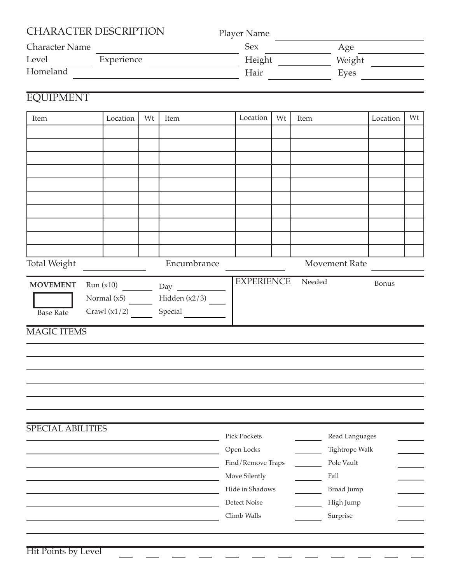| <b>Character Name</b>    | Player Name<br>Sex |    |                                                       | Age<br>Height Weight               |      |        |                    |          |    |
|--------------------------|--------------------|----|-------------------------------------------------------|------------------------------------|------|--------|--------------------|----------|----|
| Level Experience         |                    |    |                                                       |                                    |      |        |                    |          |    |
| Homeland                 | Hair               |    |                                                       |                                    | Eyes |        |                    |          |    |
|                          |                    |    |                                                       |                                    |      |        |                    |          |    |
| <b>EQUIPMENT</b>         |                    |    |                                                       |                                    |      |        |                    |          |    |
| Item                     | Location           | Wt | Item                                                  | Location                           | Wt   | Item   |                    | Location | Wt |
|                          |                    |    |                                                       |                                    |      |        |                    |          |    |
|                          |                    |    |                                                       |                                    |      |        |                    |          |    |
|                          |                    |    |                                                       |                                    |      |        |                    |          |    |
|                          |                    |    |                                                       |                                    |      |        |                    |          |    |
|                          |                    |    |                                                       |                                    |      |        |                    |          |    |
|                          |                    |    |                                                       |                                    |      |        |                    |          |    |
|                          |                    |    |                                                       |                                    |      |        |                    |          |    |
|                          |                    |    |                                                       |                                    |      |        |                    |          |    |
|                          |                    |    |                                                       |                                    |      |        |                    |          |    |
|                          |                    |    |                                                       |                                    |      |        |                    |          |    |
| <b>Total Weight</b>      |                    |    | Encumbrance                                           |                                    |      |        | Movement Rate      |          |    |
|                          |                    |    | <b>MOVEMENT</b> Run $(x10)$ $\_\_\_\_\_\_\_\_\_\$ Day | <b>EXPERIENCE</b>                  |      | Needed |                    | Bonus    |    |
|                          |                    |    | Normal $(x5)$ Hidden $(x2/3)$                         |                                    |      |        |                    |          |    |
| <b>Base Rate</b>         |                    |    | Crawl $(x1/2)$ Special                                |                                    |      |        |                    |          |    |
| <b>MAGIC ITEMS</b>       |                    |    |                                                       |                                    |      |        |                    |          |    |
|                          |                    |    |                                                       |                                    |      |        |                    |          |    |
|                          |                    |    |                                                       |                                    |      |        |                    |          |    |
|                          |                    |    |                                                       |                                    |      |        |                    |          |    |
|                          |                    |    |                                                       |                                    |      |        |                    |          |    |
|                          |                    |    |                                                       |                                    |      |        |                    |          |    |
|                          |                    |    |                                                       |                                    |      |        |                    |          |    |
|                          |                    |    |                                                       |                                    |      |        |                    |          |    |
|                          |                    |    |                                                       |                                    |      |        |                    |          |    |
|                          |                    |    |                                                       | <b>Pick Pockets</b>                |      |        | Read Languages     |          |    |
|                          |                    |    |                                                       | Open Locks                         |      |        | Tightrope Walk     |          |    |
| <b>SPECIAL ABILITIES</b> |                    |    |                                                       | Find/Remove Traps<br>Move Silently |      |        | Pole Vault<br>Fall |          |    |

Climb Walls

Detect Noise

Surprise High Jump

 $\frac{1}{\sqrt{2}}\left(\frac{1}{\sqrt{2}}\right)^{2}=\frac{1}{2}\left(\frac{1}{\sqrt{2}}\right)^{2}$  $\frac{1}{1}$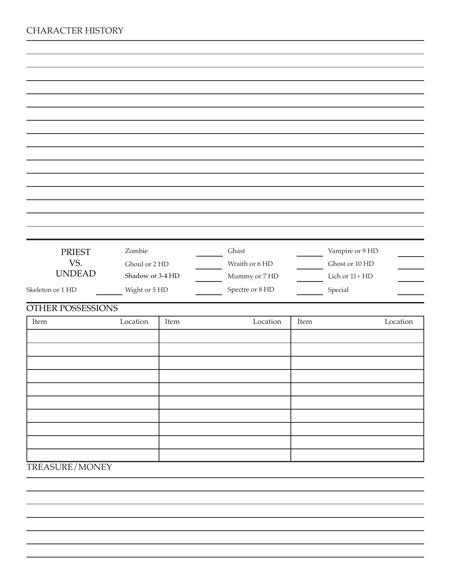| <b>PRIEST</b>        | Zombie           | Ghast |                 |      | Vampire or 9 HD |          |
|----------------------|------------------|-------|-----------------|------|-----------------|----------|
| VS.<br><b>UNDEAD</b> | Ghoul or 2 HD    |       | Wraith or 6 HD  |      | Ghost or 10 HD  |          |
|                      | Shadow or 3-4 HD |       | Mummy or 7 HD   |      | Lich or 11+ HD  |          |
| Skeleton or 1 HD     | Wight or 5 HD    |       | Spectre or 8 HD |      | Special         |          |
| OTHER POSSESSIONS    |                  |       |                 |      |                 |          |
| Item                 | Location         | Item  | Location        | Item |                 | Location |
|                      |                  |       |                 |      |                 |          |
|                      |                  |       |                 |      |                 |          |
|                      |                  |       |                 |      |                 |          |
|                      |                  |       |                 |      |                 |          |
|                      |                  |       |                 |      |                 |          |
|                      |                  |       |                 |      |                 |          |
|                      |                  |       |                 |      |                 |          |
|                      |                  |       |                 |      |                 |          |
|                      |                  |       |                 |      |                 |          |
|                      |                  |       |                 |      |                 |          |
| TREASURE/MONEY       |                  |       |                 |      |                 |          |